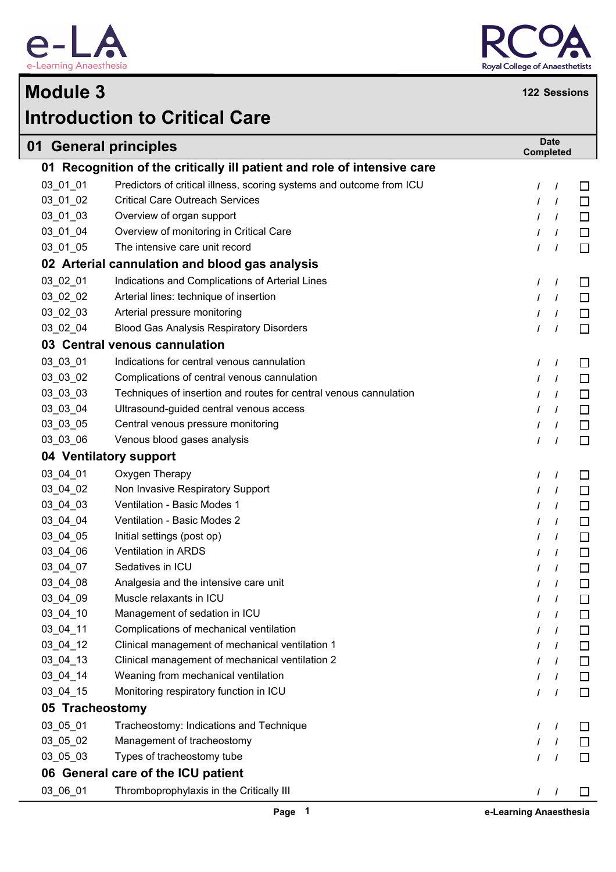

Г



## **Introduction to Critical Care Module 3 <sup>122</sup> Sessions**

|                 | 01 General principles                                                   | <b>Completed</b> | <b>Date</b> |        |
|-----------------|-------------------------------------------------------------------------|------------------|-------------|--------|
|                 | 01 Recognition of the critically ill patient and role of intensive care |                  |             |        |
| 03_01_01        | Predictors of critical illness, scoring systems and outcome from ICU    | $\prime$         | $\prime$    | $\Box$ |
| 03_01_02        | <b>Critical Care Outreach Services</b>                                  | $\prime$         | $\prime$    | $\Box$ |
| $03_01_03$      | Overview of organ support                                               | $\prime$         | $\prime$    | $\Box$ |
| 03_01_04        | Overview of monitoring in Critical Care                                 | $\prime$         | $\prime$    | $\Box$ |
| 03_01_05        | The intensive care unit record                                          | $\prime$         | $\prime$    | $\Box$ |
|                 | 02 Arterial cannulation and blood gas analysis                          |                  |             |        |
| 03_02_01        | Indications and Complications of Arterial Lines                         | $\prime$         | $\prime$    | $\Box$ |
| 03_02_02        | Arterial lines: technique of insertion                                  | $\prime$         | $\prime$    | $\Box$ |
| 03_02_03        | Arterial pressure monitoring                                            | $\prime$         | $\prime$    | $\Box$ |
| 03_02_04        | <b>Blood Gas Analysis Respiratory Disorders</b>                         | $\prime$         | $\prime$    | $\Box$ |
|                 | 03 Central venous cannulation                                           |                  |             |        |
| 03 03 01        | Indications for central venous cannulation                              | $\prime$         | T           | □      |
| 03_03_02        | Complications of central venous cannulation                             |                  | $\prime$    | $\Box$ |
| 03_03_03        | Techniques of insertion and routes for central venous cannulation       |                  | $\prime$    | $\Box$ |
| 03_03_04        | Ultrasound-guided central venous access                                 |                  | $\prime$    | $\Box$ |
| 03_03_05        | Central venous pressure monitoring                                      | $\prime$         | $\prime$    | $\Box$ |
| 03_03_06        | Venous blood gases analysis                                             | $\prime$         | $\prime$    | $\Box$ |
|                 | 04 Ventilatory support                                                  |                  |             |        |
| 03_04_01        | Oxygen Therapy                                                          | $\prime$         | $\prime$    | □      |
| 03_04_02        | Non Invasive Respiratory Support                                        |                  | $\prime$    | $\Box$ |
| 03_04_03        | Ventilation - Basic Modes 1                                             |                  | $\prime$    | $\Box$ |
| 03_04_04        | Ventilation - Basic Modes 2                                             |                  | $\prime$    | $\Box$ |
| 03_04_05        | Initial settings (post op)                                              | $\prime$         | $\prime$    | $\Box$ |
| 03_04_06        | Ventilation in ARDS                                                     | I                | $\prime$    | $\Box$ |
| 03_04_07        | Sedatives in ICU                                                        |                  | $\prime$    | $\Box$ |
| 03_04_08        | Analgesia and the intensive care unit                                   | I                | $\prime$    | $\Box$ |
| 03_04_09        | Muscle relaxants in ICU                                                 |                  |             | $\Box$ |
| $03_04_10$      | Management of sedation in ICU                                           |                  |             | □      |
| 03_04_11        | Complications of mechanical ventilation                                 |                  | $\prime$    | $\Box$ |
| 03_04_12        | Clinical management of mechanical ventilation 1                         |                  | $\prime$    | $\Box$ |
| 03_04_13        | Clinical management of mechanical ventilation 2                         |                  | L           | $\Box$ |
| 03_04_14        | Weaning from mechanical ventilation                                     |                  | $\prime$    | $\Box$ |
| 03_04_15        | Monitoring respiratory function in ICU                                  |                  | $\prime$    | $\Box$ |
| 05 Tracheostomy |                                                                         |                  |             |        |
| 03_05_01        | Tracheostomy: Indications and Technique                                 | $\prime$         | $\prime$    | ப      |
| 03_05_02        | Management of tracheostomy                                              |                  | $\prime$    |        |
| 03_05_03        | Types of tracheostomy tube                                              |                  | $\prime$    | □      |
|                 | 06 General care of the ICU patient                                      |                  |             |        |
| 03_06_01        | Thromboprophylaxis in the Critically III                                | $1 \quad 1$      |             | □      |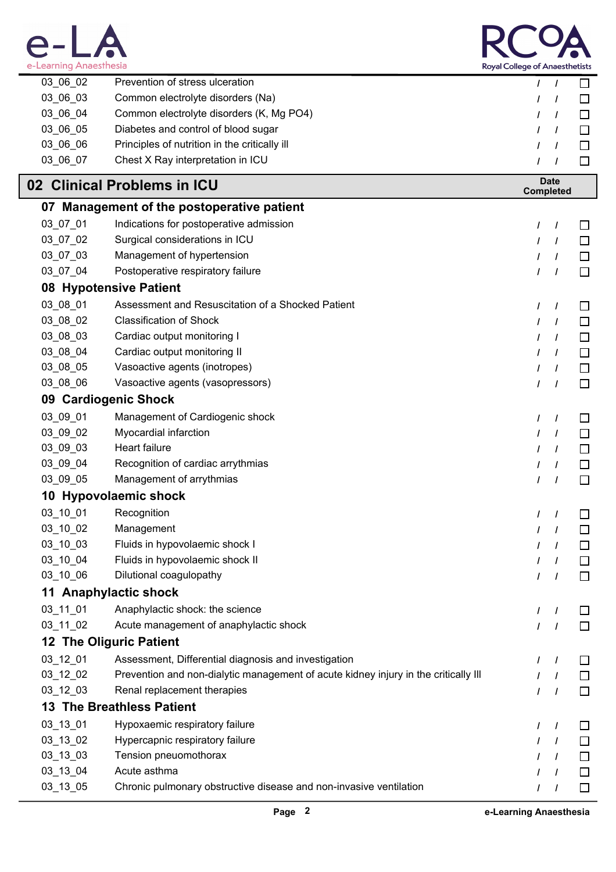



| 03_06_02       | Prevention of stress ulceration                                                     | L             | $\prime$                        | □      |
|----------------|-------------------------------------------------------------------------------------|---------------|---------------------------------|--------|
| 03_06_03       | Common electrolyte disorders (Na)                                                   |               | $\prime$                        | $\Box$ |
| 03_06_04       | Common electrolyte disorders (K, Mg PO4)                                            |               | $\prime$                        | $\Box$ |
| 03_06_05       | Diabetes and control of blood sugar                                                 |               | $\prime$                        | □      |
| 03_06_06       | Principles of nutrition in the critically ill                                       |               | $\prime$                        | $\Box$ |
| 03_06_07       | Chest X Ray interpretation in ICU                                                   |               | $\prime$                        | □      |
|                | 02 Clinical Problems in ICU                                                         |               | <b>Date</b><br><b>Completed</b> |        |
|                | 07 Management of the postoperative patient                                          |               |                                 |        |
| 03_07_01       | Indications for postoperative admission                                             | T             | $\prime$                        | ப      |
| 03_07_02       | Surgical considerations in ICU                                                      |               | $\prime$                        | □      |
| 03_07_03       | Management of hypertension                                                          |               | $\prime$                        | □      |
| 03_07_04       | Postoperative respiratory failure                                                   |               | $\prime$                        | $\Box$ |
|                | 08 Hypotensive Patient                                                              |               |                                 |        |
| 03_08_01       | Assessment and Resuscitation of a Shocked Patient                                   | I             | $\prime$                        | ப      |
| 03_08_02       | <b>Classification of Shock</b>                                                      |               | $\prime$                        | □      |
| 03_08_03       | Cardiac output monitoring I                                                         |               | $\prime$                        | □      |
| 03_08_04       | Cardiac output monitoring II                                                        |               | $\prime$                        | □      |
| 03_08_05       | Vasoactive agents (inotropes)                                                       |               | $\prime$                        | $\Box$ |
| 03_08_06       | Vasoactive agents (vasopressors)                                                    |               | $\prime$                        | $\Box$ |
|                | 09 Cardiogenic Shock                                                                |               |                                 |        |
| 03_09_01       | Management of Cardiogenic shock                                                     | I             | $\prime$                        | ப      |
| 03_09_02       | Myocardial infarction                                                               |               | $\prime$                        | □      |
| 03_09_03       | Heart failure                                                                       |               | $\prime$                        | □      |
| 03_09_04       | Recognition of cardiac arrythmias                                                   |               | $\prime$                        | □      |
| 03_09_05       | Management of arrythmias                                                            |               | $\prime$                        | □      |
|                | 10 Hypovolaemic shock                                                               |               |                                 |        |
| 03_10_01       | Recognition                                                                         |               |                                 |        |
| 03_10_02       | Management                                                                          |               |                                 |        |
| $03 - 10 - 03$ | Fluids in hypovolaemic shock I                                                      | I             | $\prime$                        | $\Box$ |
| 03_10_04       | Fluids in hypovolaemic shock II                                                     |               | $\prime$                        | □      |
| 03_10_06       | Dilutional coagulopathy                                                             |               | $\prime$                        | $\Box$ |
|                | 11 Anaphylactic shock                                                               |               |                                 |        |
| 03_11_01       | Anaphylactic shock: the science                                                     | T             | I                               | ப      |
| 03_11_02       | Acute management of anaphylactic shock                                              |               | $\prime$                        | $\Box$ |
|                | <b>12 The Oliguric Patient</b>                                                      |               |                                 |        |
| 03_12_01       | Assessment, Differential diagnosis and investigation                                | L             | $\prime$                        | □      |
| 03_12_02       | Prevention and non-dialytic management of acute kidney injury in the critically III |               | $\prime$                        | $\Box$ |
| 03_12_03       | Renal replacement therapies                                                         | $\mathcal{L}$ | $\prime$                        | $\Box$ |
|                | <b>13 The Breathless Patient</b>                                                    |               |                                 |        |
| 03_13_01       | Hypoxaemic respiratory failure                                                      | I             | $\prime$                        | $\Box$ |
| 03_13_02       | Hypercapnic respiratory failure                                                     |               | $\prime$                        | □      |
| 03_13_03       | Tension pneuomothorax                                                               |               | $\prime$                        | $\Box$ |
| 03_13_04       | Acute asthma                                                                        |               | $\prime$                        | $\Box$ |
| 03_13_05       | Chronic pulmonary obstructive disease and non-invasive ventilation                  | L             | $\prime$                        | $\Box$ |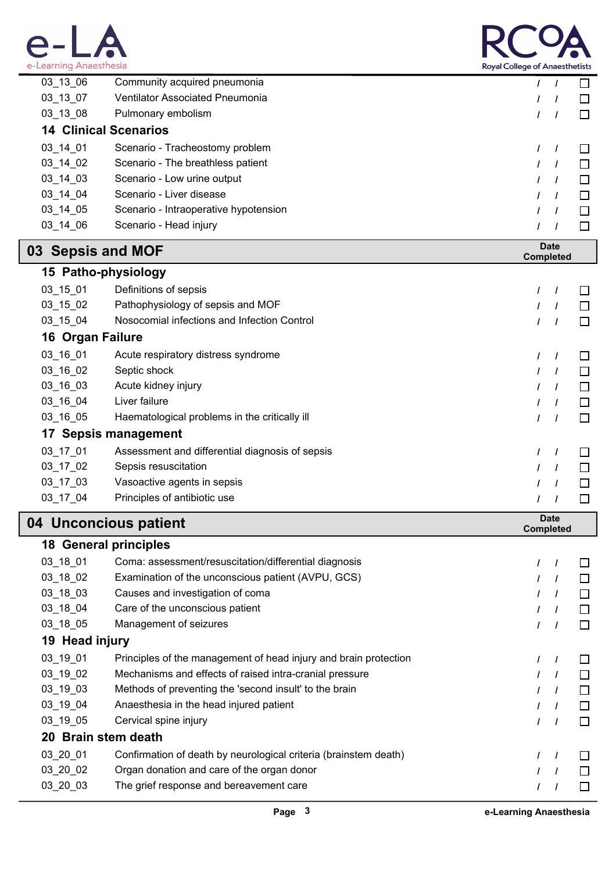



| e-Learning Anaesthesia<br><b>Royal College of Anaesthetists</b> |                                                 |                                  |
|-----------------------------------------------------------------|-------------------------------------------------|----------------------------------|
| 03_13_06                                                        | Community acquired pneumonia                    | $\prime$<br>$\prime$<br>ப        |
| 03_13_07                                                        | Ventilator Associated Pneumonia                 | $\prime$<br>$\perp$<br>I         |
| 03_13_08                                                        | Pulmonary embolism                              | $\Box$<br>$\prime$<br>$\prime$   |
|                                                                 | <b>14 Clinical Scenarios</b>                    |                                  |
| 03_14_01                                                        | Scenario - Tracheostomy problem                 | I<br>$\perp$<br>$\prime$         |
| 03_14_02                                                        | Scenario - The breathless patient               | □<br>$\prime$                    |
| 03_14_03                                                        | Scenario - Low urine output                     | $\prime$<br>⊔                    |
| 03_14_04                                                        | Scenario - Liver disease                        | $\Box$<br>$\prime$<br>I          |
| 03_14_05                                                        | Scenario - Intraoperative hypotension           | $\Box$<br>$\prime$               |
| 03_14_06                                                        | Scenario - Head injury                          | $\Box$<br>$\prime$               |
| 03 Sepsis and MOF                                               |                                                 | <b>Date</b><br><b>Completed</b>  |
|                                                                 | 15 Patho-physiology                             |                                  |
| $03 - 15 - 01$                                                  | Definitions of sepsis                           | $\prime$<br>$\sqcup$<br>$\prime$ |
| $03 - 15 - 02$                                                  | Pathophysiology of sepsis and MOF               | $\prime$<br>$\perp$<br>$\prime$  |
| 03_15_04                                                        | Nosocomial infections and Infection Control     | $\Box$<br>$\prime$<br>$\prime$   |
| 16 Organ Failure                                                |                                                 |                                  |
| 03_16_01                                                        | Acute respiratory distress syndrome             | □<br>$\prime$<br>$\prime$        |
| 03_16_02                                                        | Septic shock                                    | $\Box$<br>$\prime$               |
| 03_16_03                                                        | Acute kidney injury                             | $\prime$<br>$\Box$               |
| 03_16_04                                                        | Liver failure                                   | $\Box$<br>$\prime$               |
| 03_16_05                                                        | Haematological problems in the critically ill   | $\Box$<br>$\prime$<br>$\prime$   |
|                                                                 | 17 Sepsis management                            |                                  |
| 03_17_01                                                        | Assessment and differential diagnosis of sepsis | $\prime$<br>$\Box$<br>$\prime$   |
| 03_17_02                                                        | Sepsis resuscitation                            | $\prime$<br>$\Box$<br>I          |
| 03_17_03                                                        | Vasoactive agents in sepsis                     | □<br>$\prime$                    |
| 03_17_04                                                        | Principles of antibiotic use                    | $\Box$<br>$\prime$               |
|                                                                 | 04 Unconcious patient                           | <b>Date</b><br><b>Completed</b>  |
|                                                                 | <b>18 General principles</b>                    |                                  |
|                                                                 |                                                 |                                  |

| Coma: assessment/resuscitation/differential diagnosis            |  |  |              |  |
|------------------------------------------------------------------|--|--|--------------|--|
| Examination of the unconscious patient (AVPU, GCS)               |  |  | $\mathbf{L}$ |  |
| Causes and investigation of coma                                 |  |  | $\mathbf{L}$ |  |
| Care of the unconscious patient                                  |  |  |              |  |
| Management of seizures                                           |  |  |              |  |
| 19 Head injury                                                   |  |  |              |  |
| Principles of the management of head injury and brain protection |  |  |              |  |
| Mechanisms and effects of raised intra-cranial pressure          |  |  | $\perp$      |  |
| Methods of preventing the 'second insult' to the brain           |  |  | $\Box$       |  |
| Anaesthesia in the head injured patient                          |  |  | $\perp$      |  |
| Cervical spine injury                                            |  |  | $\Box$       |  |
| 20 Brain stem death                                              |  |  |              |  |
| Confirmation of death by neurological criteria (brainstem death) |  |  | $\mathbf{L}$ |  |
| Organ donation and care of the organ donor                       |  |  | $\perp$      |  |
| The grief response and bereavement care                          |  |  |              |  |
|                                                                  |  |  |              |  |